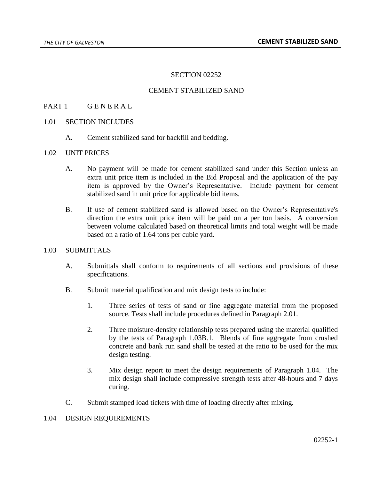## SECTION 02252

## CEMENT STABILIZED SAND

### PART 1 GENERAL

#### 1.01 SECTION INCLUDES

A. Cement stabilized sand for backfill and bedding.

### 1.02 UNIT PRICES

- A. No payment will be made for cement stabilized sand under this Section unless an extra unit price item is included in the Bid Proposal and the application of the pay item is approved by the Owner's Representative. Include payment for cement stabilized sand in unit price for applicable bid items.
- B. If use of cement stabilized sand is allowed based on the Owner's Representative's direction the extra unit price item will be paid on a per ton basis. A conversion between volume calculated based on theoretical limits and total weight will be made based on a ratio of 1.64 tons per cubic yard.

### 1.03 SUBMITTALS

- A. Submittals shall conform to requirements of all sections and provisions of these specifications.
- B. Submit material qualification and mix design tests to include:
	- 1. Three series of tests of sand or fine aggregate material from the proposed source. Tests shall include procedures defined in Paragraph 2.01.
	- 2. Three moisture-density relationship tests prepared using the material qualified by the tests of Paragraph 1.03B.1. Blends of fine aggregate from crushed concrete and bank run sand shall be tested at the ratio to be used for the mix design testing.
	- 3. Mix design report to meet the design requirements of Paragraph 1.04. The mix design shall include compressive strength tests after 48-hours and 7 days curing.
- C. Submit stamped load tickets with time of loading directly after mixing.

#### 1.04 DESIGN REQUIREMENTS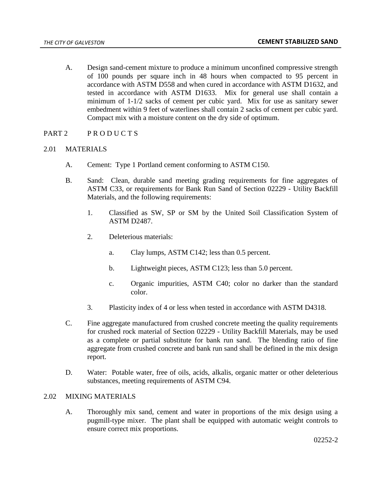- A. Design sand-cement mixture to produce a minimum unconfined compressive strength of 100 pounds per square inch in 48 hours when compacted to 95 percent in accordance with ASTM D558 and when cured in accordance with ASTM D1632, and tested in accordance with ASTM D1633. Mix for general use shall contain a minimum of 1-1/2 sacks of cement per cubic yard. Mix for use as sanitary sewer embedment within 9 feet of waterlines shall contain 2 sacks of cement per cubic yard. Compact mix with a moisture content on the dry side of optimum.
- PART 2 PRODUCTS

# 2.01 MATERIALS

- A. Cement: Type 1 Portland cement conforming to ASTM C150.
- B. Sand: Clean, durable sand meeting grading requirements for fine aggregates of ASTM C33, or requirements for Bank Run Sand of Section 02229 - Utility Backfill Materials, and the following requirements:
	- 1. Classified as SW, SP or SM by the United Soil Classification System of ASTM D2487.
	- 2. Deleterious materials:
		- a. Clay lumps, ASTM C142; less than 0.5 percent.
		- b. Lightweight pieces, ASTM C123; less than 5.0 percent.
		- c. Organic impurities, ASTM C40; color no darker than the standard color.
	- 3. Plasticity index of 4 or less when tested in accordance with ASTM D4318.
- C. Fine aggregate manufactured from crushed concrete meeting the quality requirements for crushed rock material of Section 02229 - Utility Backfill Materials, may be used as a complete or partial substitute for bank run sand. The blending ratio of fine aggregate from crushed concrete and bank run sand shall be defined in the mix design report.
- D. Water: Potable water, free of oils, acids, alkalis, organic matter or other deleterious substances, meeting requirements of ASTM C94.

### 2.02 MIXING MATERIALS

A. Thoroughly mix sand, cement and water in proportions of the mix design using a pugmill-type mixer. The plant shall be equipped with automatic weight controls to ensure correct mix proportions.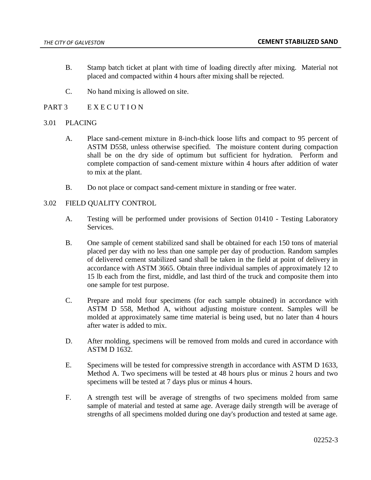- B. Stamp batch ticket at plant with time of loading directly after mixing. Material not placed and compacted within 4 hours after mixing shall be rejected.
- C. No hand mixing is allowed on site.
- PART 3 E X E C U T I O N

## 3.01 PLACING

- A. Place sand-cement mixture in 8-inch-thick loose lifts and compact to 95 percent of ASTM D558, unless otherwise specified. The moisture content during compaction shall be on the dry side of optimum but sufficient for hydration. Perform and complete compaction of sand-cement mixture within 4 hours after addition of water to mix at the plant.
- B. Do not place or compact sand-cement mixture in standing or free water.

## 3.02 FIELD QUALITY CONTROL

- A. Testing will be performed under provisions of Section 01410 Testing Laboratory Services.
- B. One sample of cement stabilized sand shall be obtained for each 150 tons of material placed per day with no less than one sample per day of production. Random samples of delivered cement stabilized sand shall be taken in the field at point of delivery in accordance with ASTM 3665. Obtain three individual samples of approximately 12 to 15 lb each from the first, middle, and last third of the truck and composite them into one sample for test purpose.
- C. Prepare and mold four specimens (for each sample obtained) in accordance with ASTM D 558, Method A, without adjusting moisture content. Samples will be molded at approximately same time material is being used, but no later than 4 hours after water is added to mix.
- D. After molding, specimens will be removed from molds and cured in accordance with ASTM D 1632.
- E. Specimens will be tested for compressive strength in accordance with ASTM D 1633, Method A. Two specimens will be tested at 48 hours plus or minus 2 hours and two specimens will be tested at 7 days plus or minus 4 hours.
- F. A strength test will be average of strengths of two specimens molded from same sample of material and tested at same age. Average daily strength will be average of strengths of all specimens molded during one day's production and tested at same age.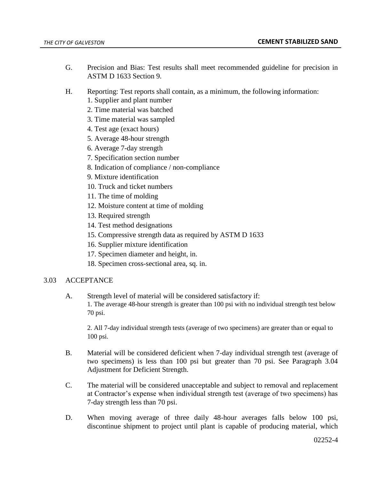- G. Precision and Bias: Test results shall meet recommended guideline for precision in ASTM D 1633 Section 9.
- H. Reporting: Test reports shall contain, as a minimum, the following information:
	- 1. Supplier and plant number
	- 2. Time material was batched
	- 3. Time material was sampled
	- 4. Test age (exact hours)
	- 5. Average 48-hour strength
	- 6. Average 7-day strength
	- 7. Specification section number
	- 8. Indication of compliance / non-compliance
	- 9. Mixture identification
	- 10. Truck and ticket numbers
	- 11. The time of molding
	- 12. Moisture content at time of molding
	- 13. Required strength
	- 14. Test method designations
	- 15. Compressive strength data as required by ASTM D 1633
	- 16. Supplier mixture identification
	- 17. Specimen diameter and height, in.
	- 18. Specimen cross-sectional area, sq. in.

# 3.03 ACCEPTANCE

A. Strength level of material will be considered satisfactory if: 1. The average 48-hour strength is greater than 100 psi with no individual strength test below 70 psi.

2. All 7-day individual strength tests (average of two specimens) are greater than or equal to 100 psi.

- B. Material will be considered deficient when 7-day individual strength test (average of two specimens) is less than 100 psi but greater than 70 psi. See Paragraph 3.04 Adjustment for Deficient Strength.
- C. The material will be considered unacceptable and subject to removal and replacement at Contractor's expense when individual strength test (average of two specimens) has 7-day strength less than 70 psi.
- D. When moving average of three daily 48-hour averages falls below 100 psi, discontinue shipment to project until plant is capable of producing material, which